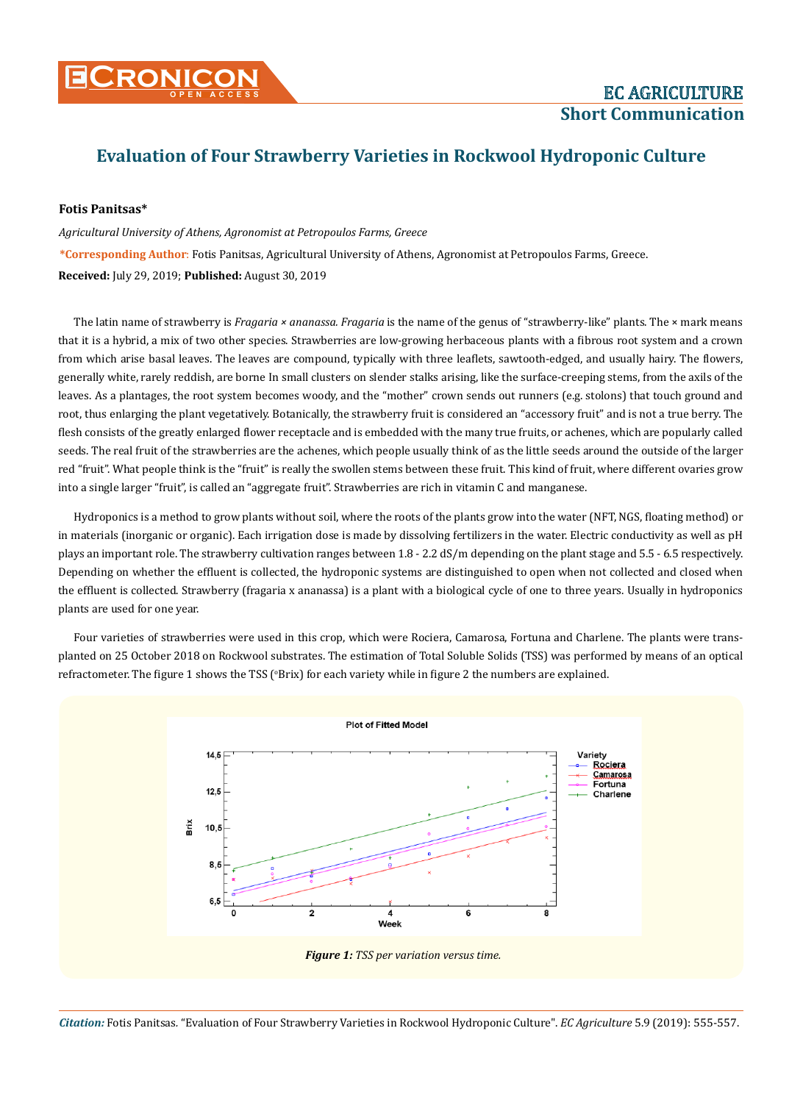## **Evaluation of Four Strawberry Varieties in Rockwool Hydroponic Culture**

## **Fotis Panitsas\***

*Agricultural University of Athens, Agronomist at Petropoulos Farms, Greece* **\*Corresponding Author**: Fotis Panitsas, Agricultural University of Athens, Agronomist at Petropoulos Farms, Greece. **Received:** July 29, 2019; **Published:** August 30, 2019

The latin name of strawberry is *Fragaria × ananassa. Fragaria* is the name of the genus of "strawberry-like" plants. The × mark means that it is a hybrid, a mix of two other species. Strawberries are low-growing herbaceous plants with a fibrous root system and a crown from which arise basal leaves. The leaves are compound, typically with three leaflets, sawtooth-edged, and usually hairy. The flowers, generally white, rarely reddish, are borne In small clusters on slender stalks arising, like the surface-creeping stems, from the axils of the leaves. As a plantages, the root system becomes woody, and the "mother" crown sends out runners (e.g. stolons) that touch ground and root, thus enlarging the plant vegetatively. Botanically, the strawberry fruit is considered an "accessory fruit" and is not a true berry. The flesh consists of the greatly enlarged flower receptacle and is embedded with the many true fruits, or achenes, which are popularly called seeds. The real fruit of the strawberries are the achenes, which people usually think of as the little seeds around the outside of the larger red "fruit". What people think is the "fruit" is really the swollen stems between these fruit. This kind of fruit, where different ovaries grow into a single larger "fruit", is called an "aggregate fruit". Strawberries are rich in vitamin C and manganese.

Hydroponics is a method to grow plants without soil, where the roots of the plants grow into the water (NFT, NGS, floating method) or in materials (inorganic or organic). Each irrigation dose is made by dissolving fertilizers in the water. Electric conductivity as well as pH plays an important role. The strawberry cultivation ranges between 1.8 - 2.2 dS/m depending on the plant stage and 5.5 - 6.5 respectively. Depending on whether the effluent is collected, the hydroponic systems are distinguished to open when not collected and closed when the effluent is collected. Strawberry (fragaria x ananassa) is a plant with a biological cycle of one to three years. Usually in hydroponics plants are used for one year.

Four varieties of strawberries were used in this crop, which were Rociera, Camarosa, Fortuna and Charlene. The plants were transplanted on 25 October 2018 on Rockwool substrates. The estimation of Total Soluble Solids (TSS) was performed by means of an optical refractometer. The figure 1 shows the TSS (°Brix) for each variety while in figure 2 the numbers are explained.



*Citation:* Fotis Panitsas*.* "Evaluation of Four Strawberry Varieties in Rockwool Hydroponic Culture". *EC Agriculture* 5.9 (2019): 555-557.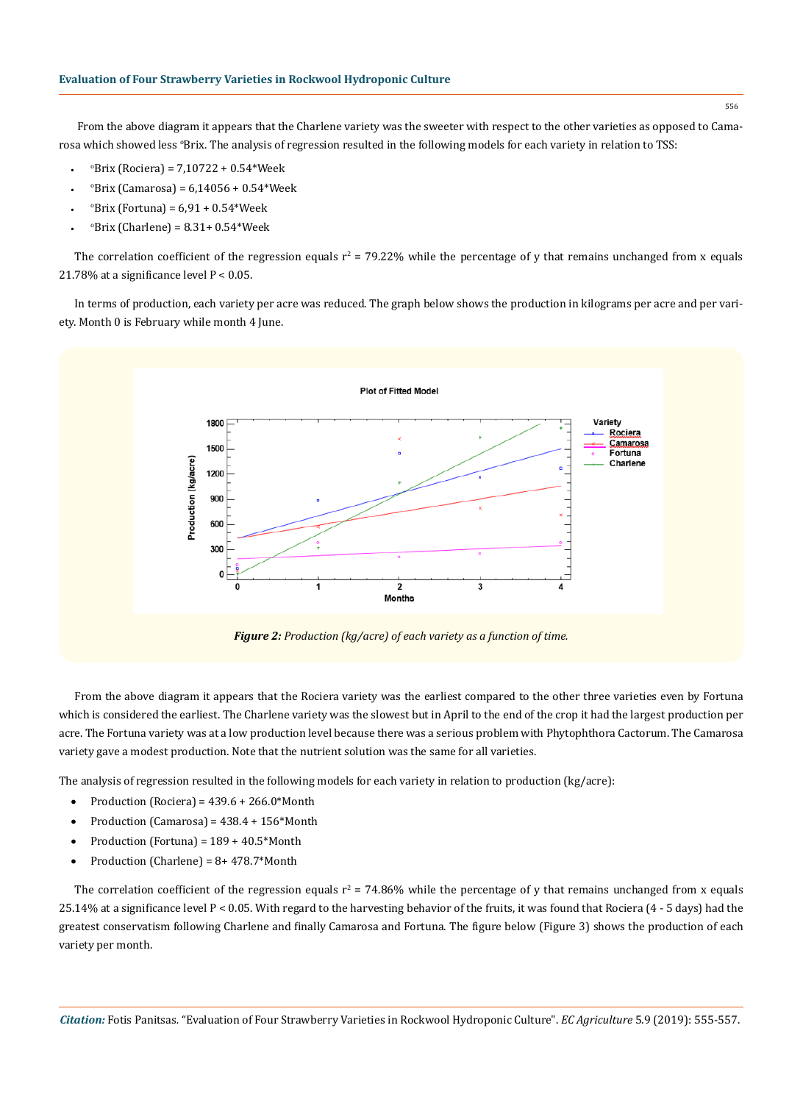From the above diagram it appears that the Charlene variety was the sweeter with respect to the other varieties as opposed to Camarosa which showed less °Brix. The analysis of regression resulted in the following models for each variety in relation to TSS:

- $\degree$ Brix (Rociera) = 7,10722 + 0.54\*Week
- $\degree$ Brix (Camarosa) = 6,14056 + 0.54\*Week
- $\degree$ Brix (Fortuna) = 6,91 + 0.54\*Week
- $^{\circ}$ Brix (Charlene) = 8.31+ 0.54\*Week

The correlation coefficient of the regression equals  $r^2$  = 79.22% while the percentage of y that remains unchanged from x equals 21.78% at a significance level  $P < 0.05$ .

In terms of production, each variety per acre was reduced. The graph below shows the production in kilograms per acre and per variety. Month 0 is February while month 4 June.



From the above diagram it appears that the Rociera variety was the earliest compared to the other three varieties even by Fortuna which is considered the earliest. The Charlene variety was the slowest but in April to the end of the crop it had the largest production per acre. The Fortuna variety was at a low production level because there was a serious problem with Phytophthora Cactorum. The Camarosa variety gave a modest production. Note that the nutrient solution was the same for all varieties.

The analysis of regression resulted in the following models for each variety in relation to production (kg/acre):

- Production (Rociera) =  $439.6 + 266.0*$ Month
- Production (Camarosa) =  $438.4 + 156*$ Month
- Production (Fortuna) =  $189 + 40.5*$ Month
- Production (Charlene) =  $8+478.7*$ Month

The correlation coefficient of the regression equals  $r^2 = 74.86\%$  while the percentage of y that remains unchanged from x equals 25.14% at a significance level  $P < 0.05$ . With regard to the harvesting behavior of the fruits, it was found that Rociera (4 - 5 days) had the greatest conservatism following Charlene and finally Camarosa and Fortuna. The figure below (Figure 3) shows the production of each variety per month.

556